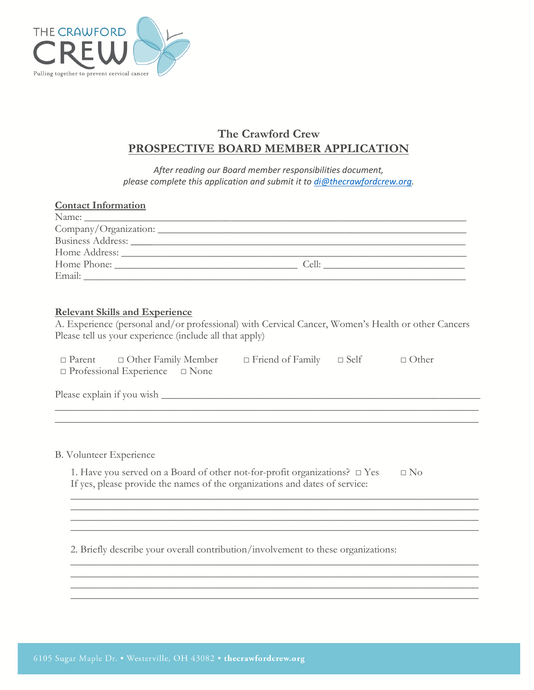

# **The Crawford Crew PROSPECTIVE BOARD MEMBER APPLICATION**

*After reading our Board member responsibilities document, please complete this application and submit it to [di@thecrawfordcrew.org.](mailto:di@thecrawfordcrew.org)* 

| <b>Contact Information</b> |  |
|----------------------------|--|
|                            |  |
|                            |  |
| Business Address:          |  |
|                            |  |
|                            |  |
|                            |  |

#### **Relevant Skills and Experience**

A. Experience (personal and/or professional) with Cervical Cancer, Women's Health or other Cancers Please tell us your experience (include all that apply)

| $\Box$ Parent $\Box$ Other Family Member   | $\Box$ Friend of Family $\Box$ Self | □ Other |
|--------------------------------------------|-------------------------------------|---------|
| $\Box$ Professional Experience $\Box$ None |                                     |         |

Please explain if you wish

B. Volunteer Experience

| 1. Have you served on a Board of other not-for-profit organizations? $\Box$ Yes | $\Box$ No |
|---------------------------------------------------------------------------------|-----------|
| If yes, please provide the names of the organizations and dates of service:     |           |

\_\_\_\_\_\_\_\_\_\_\_\_\_\_\_\_\_\_\_\_\_\_\_\_\_\_\_\_\_\_\_\_\_\_\_\_\_\_\_\_\_\_\_\_\_\_\_\_\_\_\_\_\_\_\_\_\_\_\_\_\_\_\_\_\_\_\_\_\_\_\_\_\_\_\_\_\_\_  $\mathcal{L}_\mathcal{L} = \{ \mathcal{L}_\mathcal{L} = \{ \mathcal{L}_\mathcal{L} = \{ \mathcal{L}_\mathcal{L} = \{ \mathcal{L}_\mathcal{L} = \{ \mathcal{L}_\mathcal{L} = \{ \mathcal{L}_\mathcal{L} = \{ \mathcal{L}_\mathcal{L} = \{ \mathcal{L}_\mathcal{L} = \{ \mathcal{L}_\mathcal{L} = \{ \mathcal{L}_\mathcal{L} = \{ \mathcal{L}_\mathcal{L} = \{ \mathcal{L}_\mathcal{L} = \{ \mathcal{L}_\mathcal{L} = \{ \mathcal{L}_\mathcal{$  $\mathcal{L}_\mathcal{L} = \{ \mathcal{L}_\mathcal{L} = \{ \mathcal{L}_\mathcal{L} = \{ \mathcal{L}_\mathcal{L} = \{ \mathcal{L}_\mathcal{L} = \{ \mathcal{L}_\mathcal{L} = \{ \mathcal{L}_\mathcal{L} = \{ \mathcal{L}_\mathcal{L} = \{ \mathcal{L}_\mathcal{L} = \{ \mathcal{L}_\mathcal{L} = \{ \mathcal{L}_\mathcal{L} = \{ \mathcal{L}_\mathcal{L} = \{ \mathcal{L}_\mathcal{L} = \{ \mathcal{L}_\mathcal{L} = \{ \mathcal{L}_\mathcal{$ 

\_\_\_\_\_\_\_\_\_\_\_\_\_\_\_\_\_\_\_\_\_\_\_\_\_\_\_\_\_\_\_\_\_\_\_\_\_\_\_\_\_\_\_\_\_\_\_\_\_\_\_\_\_\_\_\_\_\_\_\_\_\_\_\_\_\_\_\_\_\_\_\_\_\_\_\_\_\_ \_\_\_\_\_\_\_\_\_\_\_\_\_\_\_\_\_\_\_\_\_\_\_\_\_\_\_\_\_\_\_\_\_\_\_\_\_\_\_\_\_\_\_\_\_\_\_\_\_\_\_\_\_\_\_\_\_\_\_\_\_\_\_\_\_\_\_\_\_\_\_\_\_\_\_\_\_\_ \_\_\_\_\_\_\_\_\_\_\_\_\_\_\_\_\_\_\_\_\_\_\_\_\_\_\_\_\_\_\_\_\_\_\_\_\_\_\_\_\_\_\_\_\_\_\_\_\_\_\_\_\_\_\_\_\_\_\_\_\_\_\_\_\_\_\_\_\_\_\_\_\_\_\_\_\_\_ \_\_\_\_\_\_\_\_\_\_\_\_\_\_\_\_\_\_\_\_\_\_\_\_\_\_\_\_\_\_\_\_\_\_\_\_\_\_\_\_\_\_\_\_\_\_\_\_\_\_\_\_\_\_\_\_\_\_\_\_\_\_\_\_\_\_\_\_\_\_\_\_\_\_\_\_\_\_

2. Briefly describe your overall contribution/involvement to these organizations: